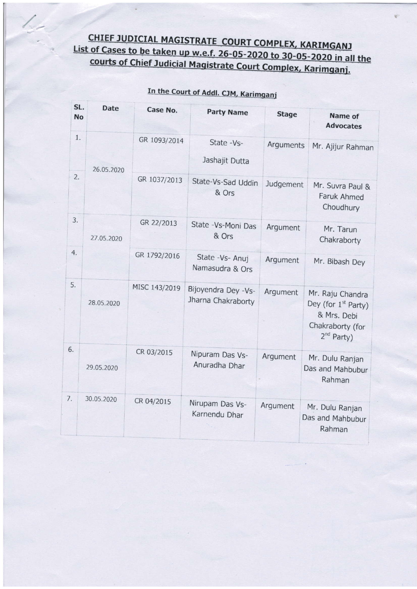## CHIEF JUDICIAL MAGISTRATE COURT COMPLEX, KARIMGANJ List of Cases to be taken up w.e.f. 26-05-2020 to 30-05-2020 in all the<br>courts of Chief Judicial Magistrate 6 courts of Chief Judicial Magistrate Court Complex, Karimganj.

| SL.          | <b>Date</b> |               |                                           |              |                                                                                                                  |  |
|--------------|-------------|---------------|-------------------------------------------|--------------|------------------------------------------------------------------------------------------------------------------|--|
| <b>No</b>    |             | Case No.      | <b>Party Name</b>                         | <b>Stage</b> | <b>Name of</b><br><b>Advocates</b>                                                                               |  |
| 1.           | 26.05.2020  | GR 1093/2014  | State -Vs-<br>Jashajit Dutta              | Arguments    | Mr. Ajijur Rahman                                                                                                |  |
| 2.<br>$\sim$ |             | GR 1037/2013  | State-Vs-Sad Uddin<br>& Ors               | Judgement    | Mr. Suvra Paul &<br>Faruk Ahmed<br>Choudhury                                                                     |  |
| 3.           | 27.05.2020  | GR 22/2013    | State - Vs-Moni Das<br>& Ors              | Argument     | Mr. Tarun<br>Chakraborty                                                                                         |  |
| 4.           |             | GR 1792/2016  | State -Vs- Anuj<br>Namasudra & Ors        | Argument     | Mr. Bibash Dey                                                                                                   |  |
| 5.           | 28.05.2020  | MISC 143/2019 | Bijoyendra Dey -Vs-<br>Jharna Chakraborty | Argument     | Mr. Raju Chandra<br>Dey (for 1 <sup>st</sup> Party)<br>& Mrs. Debi<br>Chakraborty (for<br>2 <sup>nd</sup> Party) |  |
| 6.           | 29.05.2020  | CR 03/2015    | Nipuram Das Vs-<br>Anuradha Dhar          | Argument     | Mr. Dulu Ranjan<br>Das and Mahbubur<br>Rahman                                                                    |  |
| 7.           | 30.05.2020  | CR 04/2015    | Nirupam Das Vs-<br>Karnendu Dhar          | Argument     | Mr. Dulu Ranjan<br>Das and Mahbubur<br>Rahman                                                                    |  |

## In the Court of Addl. CJM, Karimganj

 $\angle$